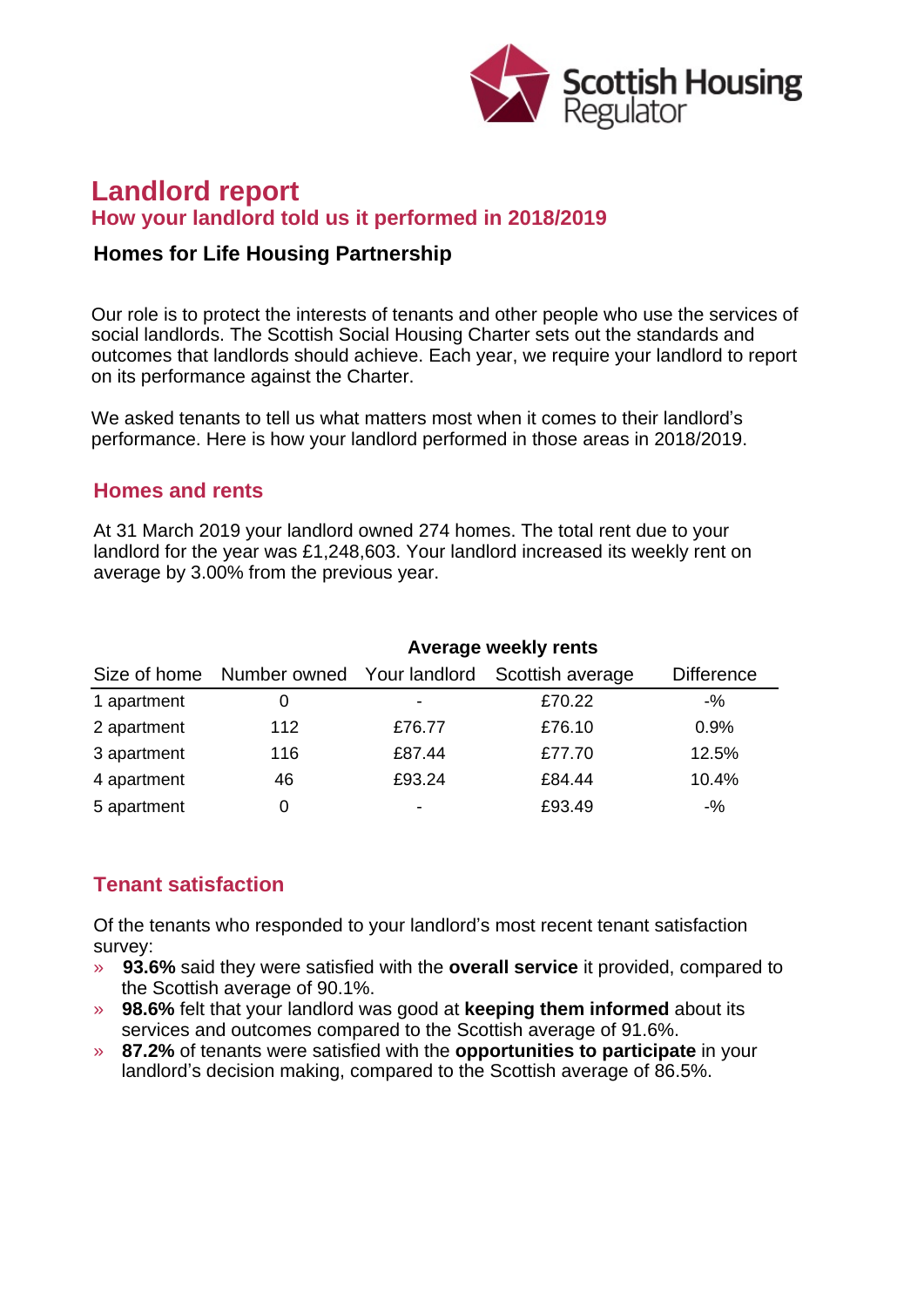

# **Landlord report How your landlord told us it performed in 2018/2019**

### **Homes for Life Housing Partnership**

Our role is to protect the interests of tenants and other people who use the services of social landlords. The Scottish Social Housing Charter sets out the standards and outcomes that landlords should achieve. Each year, we require your landlord to report on its performance against the Charter.

We asked tenants to tell us what matters most when it comes to their landlord's performance. Here is how your landlord performed in those areas in 2018/2019.

#### **Homes and rents**

At 31 March 2019 your landlord owned 274 homes. The total rent due to your landlord for the year was £1,248,603. Your landlord increased its weekly rent on average by 3.00% from the previous year.

|             | Average weekly rents |        |                                                          |                   |
|-------------|----------------------|--------|----------------------------------------------------------|-------------------|
|             |                      |        | Size of home Number owned Your landlord Scottish average | <b>Difference</b> |
| 1 apartment | 0                    | ۰      | £70.22                                                   | $-$ %             |
| 2 apartment | 112                  | £76.77 | £76.10                                                   | 0.9%              |
| 3 apartment | 116                  | £87.44 | £77.70                                                   | 12.5%             |
| 4 apartment | 46                   | £93.24 | £84.44                                                   | 10.4%             |
| 5 apartment | 0                    | ۰      | £93.49                                                   | $-$ %             |

## **Tenant satisfaction**

Of the tenants who responded to your landlord's most recent tenant satisfaction survey:

- » **93.6%** said they were satisfied with the **overall service** it provided, compared to the Scottish average of 90.1%.
- » **98.6%** felt that your landlord was good at **keeping them informed** about its services and outcomes compared to the Scottish average of 91.6%.
- » **87.2%** of tenants were satisfied with the **opportunities to participate** in your landlord's decision making, compared to the Scottish average of 86.5%.